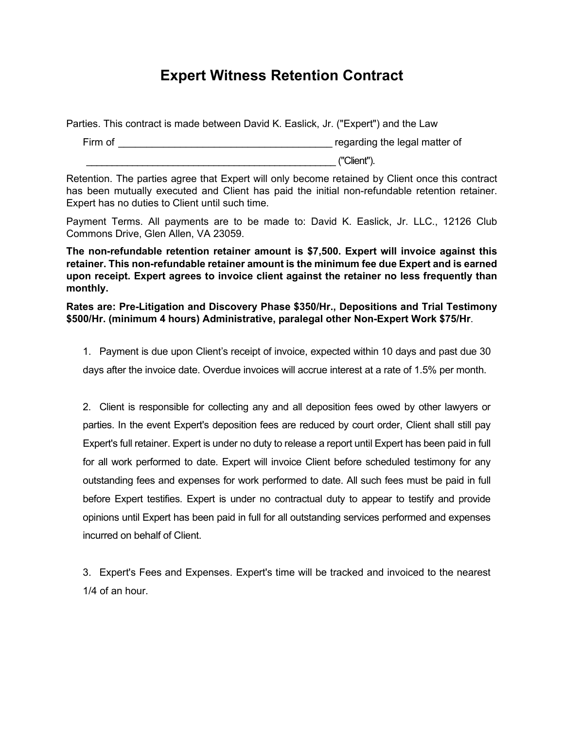## **Expert Witness Retention Contract**

Parties. This contract is made between David K. Easlick, Jr. ("Expert") and the Law

Firm of **Example 2** Firm of **Example 2** Firm of **Example 2** Firm of **Example 2** Firm of \_\_\_\_\_\_\_\_\_\_\_\_\_\_\_\_\_\_\_\_\_\_\_\_\_\_\_\_\_\_\_\_\_\_\_\_\_\_\_\_\_\_\_\_\_\_\_\_\_ ("Client").

Retention. The parties agree that Expert will only become retained by Client once this contract has been mutually executed and Client has paid the initial non-refundable retention retainer. Expert has no duties to Client until such time.

Payment Terms. All payments are to be made to: David K. Easlick, Jr. LLC., 12126 Club Commons Drive, Glen Allen, VA 23059.

**The non-refundable retention retainer amount is \$7,500. Expert will invoice against this retainer. This non-refundable retainer amount is the minimum fee due Expert and is earned upon receipt. Expert agrees to invoice client against the retainer no less frequently than monthly.** 

**Rates are: Pre-Litigation and Discovery Phase \$350/Hr., Depositions and Trial Testimony \$500/Hr. (minimum 4 hours) Administrative, paralegal other Non-Expert Work \$75/Hr**.

1. Payment is due upon Client's receipt of invoice, expected within 10 days and past due 30 days after the invoice date. Overdue invoices will accrue interest at a rate of 1.5% per month.

2. Client is responsible for collecting any and all deposition fees owed by other lawyers or parties. In the event Expert's deposition fees are reduced by court order, Client shall still pay Expert's full retainer. Expert is under no duty to release a report until Expert has been paid in full for all work performed to date. Expert will invoice Client before scheduled testimony for any outstanding fees and expenses for work performed to date. All such fees must be paid in full before Expert testifies. Expert is under no contractual duty to appear to testify and provide opinions until Expert has been paid in full for all outstanding services performed and expenses incurred on behalf of Client.

3. Expert's Fees and Expenses. Expert's time will be tracked and invoiced to the nearest 1/4 of an hour.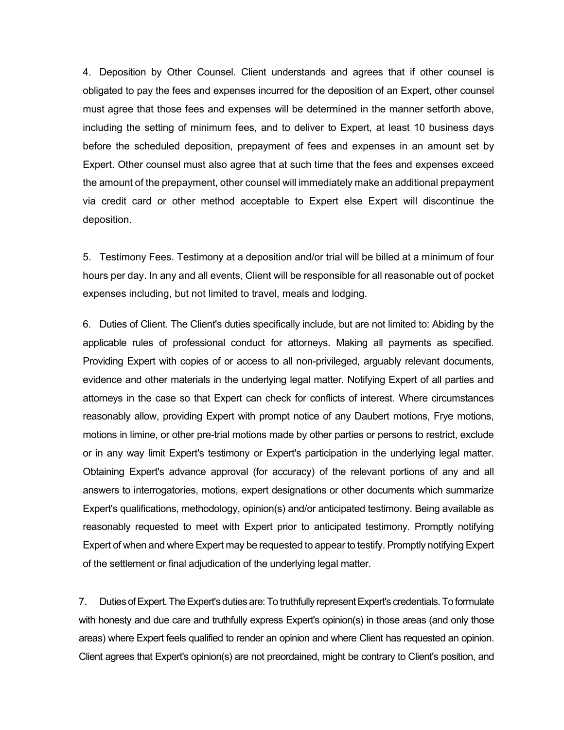4. Deposition by Other Counsel. Client understands and agrees that if other counsel is obligated to pay the fees and expenses incurred for the deposition of an Expert, other counsel must agree that those fees and expenses will be determined in the manner setforth above, including the setting of minimum fees, and to deliver to Expert, at least 10 business days before the scheduled deposition, prepayment of fees and expenses in an amount set by Expert. Other counsel must also agree that at such time that the fees and expenses exceed the amount of the prepayment, other counsel will immediately make an additional prepayment via credit card or other method acceptable to Expert else Expert will discontinue the deposition.

5. Testimony Fees. Testimony at a deposition and/or trial will be billed at a minimum of four hours per day. In any and all events, Client will be responsible for all reasonable out of pocket expenses including, but not limited to travel, meals and lodging.

6. Duties of Client. The Client's duties specifically include, but are not limited to: Abiding by the applicable rules of professional conduct for attorneys. Making all payments as specified. Providing Expert with copies of or access to all non-privileged, arguably relevant documents, evidence and other materials in the underlying legal matter. Notifying Expert of all parties and attorneys in the case so that Expert can check for conflicts of interest. Where circumstances reasonably allow, providing Expert with prompt notice of any Daubert motions, Frye motions, motions in limine, or other pre-trial motions made by other parties or persons to restrict, exclude or in any way limit Expert's testimony or Expert's participation in the underlying legal matter. Obtaining Expert's advance approval (for accuracy) of the relevant portions of any and all answers to interrogatories, motions, expert designations or other documents which summarize Expert's qualifications, methodology, opinion(s) and/or anticipated testimony. Being available as reasonably requested to meet with Expert prior to anticipated testimony. Promptly notifying Expert of when and where Expert may be requested to appear to testify. Promptly notifying Expert of the settlement or final adjudication of the underlying legal matter.

7. Duties of Expert. The Expert's duties are: To truthfully represent Expert's credentials. To formulate with honesty and due care and truthfully express Expert's opinion(s) in those areas (and only those areas) where Expert feels qualified to render an opinion and where Client has requested an opinion. Client agrees that Expert's opinion(s) are not preordained, might be contrary to Client's position, and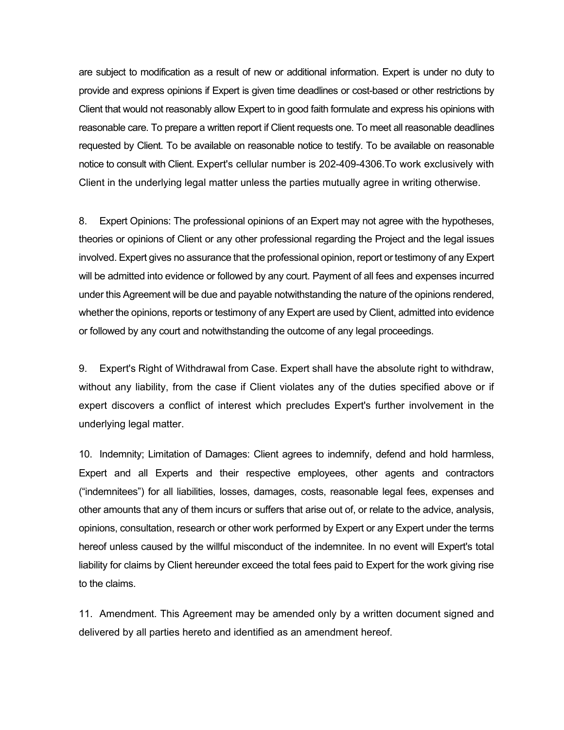are subject to modification as a result of new or additional information. Expert is under no duty to provide and express opinions if Expert is given time deadlines or cost-based or other restrictions by Client that would not reasonably allow Expert to in good faith formulate and express his opinions with reasonable care. To prepare a written report if Client requests one. To meet all reasonable deadlines requested by Client. To be available on reasonable notice to testify. To be available on reasonable notice to consult with Client. Expert's cellular number is 202-409-4306.To work exclusively with Client in the underlying legal matter unless the parties mutually agree in writing otherwise.

8. Expert Opinions: The professional opinions of an Expert may not agree with the hypotheses, theories or opinions of Client or any other professional regarding the Project and the legal issues involved. Expert gives no assurance that the professional opinion, report or testimony of any Expert will be admitted into evidence or followed by any court. Payment of all fees and expenses incurred under this Agreement will be due and payable notwithstanding the nature of the opinions rendered, whether the opinions, reports or testimony of any Expert are used by Client, admitted into evidence or followed by any court and notwithstanding the outcome of any legal proceedings.

9. Expert's Right of Withdrawal from Case. Expert shall have the absolute right to withdraw, without any liability, from the case if Client violates any of the duties specified above or if expert discovers a conflict of interest which precludes Expert's further involvement in the underlying legal matter.

10. Indemnity; Limitation of Damages: Client agrees to indemnify, defend and hold harmless, Expert and all Experts and their respective employees, other agents and contractors ("indemnitees") for all liabilities, losses, damages, costs, reasonable legal fees, expenses and other amounts that any of them incurs or suffers that arise out of, or relate to the advice, analysis, opinions, consultation, research or other work performed by Expert or any Expert under the terms hereof unless caused by the willful misconduct of the indemnitee. In no event will Expert's total liability for claims by Client hereunder exceed the total fees paid to Expert for the work giving rise to the claims.

11. Amendment. This Agreement may be amended only by a written document signed and delivered by all parties hereto and identified as an amendment hereof.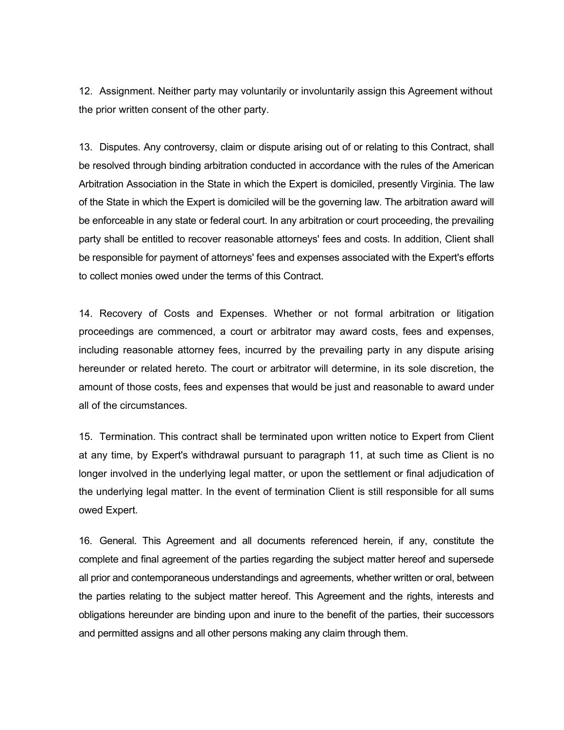12. Assignment. Neither party may voluntarily or involuntarily assign this Agreement without the prior written consent of the other party.

13. Disputes. Any controversy, claim or dispute arising out of or relating to this Contract, shall be resolved through binding arbitration conducted in accordance with the rules of the American Arbitration Association in the State in which the Expert is domiciled, presently Virginia. The law of the State in which the Expert is domiciled will be the governing law. The arbitration award will be enforceable in any state or federal court. In any arbitration or court proceeding, the prevailing party shall be entitled to recover reasonable attorneys' fees and costs. In addition, Client shall be responsible for payment of attorneys' fees and expenses associated with the Expert's efforts to collect monies owed under the terms of this Contract.

14. Recovery of Costs and Expenses. Whether or not formal arbitration or litigation proceedings are commenced, a court or arbitrator may award costs, fees and expenses, including reasonable attorney fees, incurred by the prevailing party in any dispute arising hereunder or related hereto. The court or arbitrator will determine, in its sole discretion, the amount of those costs, fees and expenses that would be just and reasonable to award under all of the circumstances.

15. Termination. This contract shall be terminated upon written notice to Expert from Client at any time, by Expert's withdrawal pursuant to paragraph 11, at such time as Client is no longer involved in the underlying legal matter, or upon the settlement or final adjudication of the underlying legal matter. In the event of termination Client is still responsible for all sums owed Expert.

16. General. This Agreement and all documents referenced herein, if any, constitute the complete and final agreement of the parties regarding the subject matter hereof and supersede all prior and contemporaneous understandings and agreements, whether written or oral, between the parties relating to the subject matter hereof. This Agreement and the rights, interests and obligations hereunder are binding upon and inure to the benefit of the parties, their successors and permitted assigns and all other persons making any claim through them.